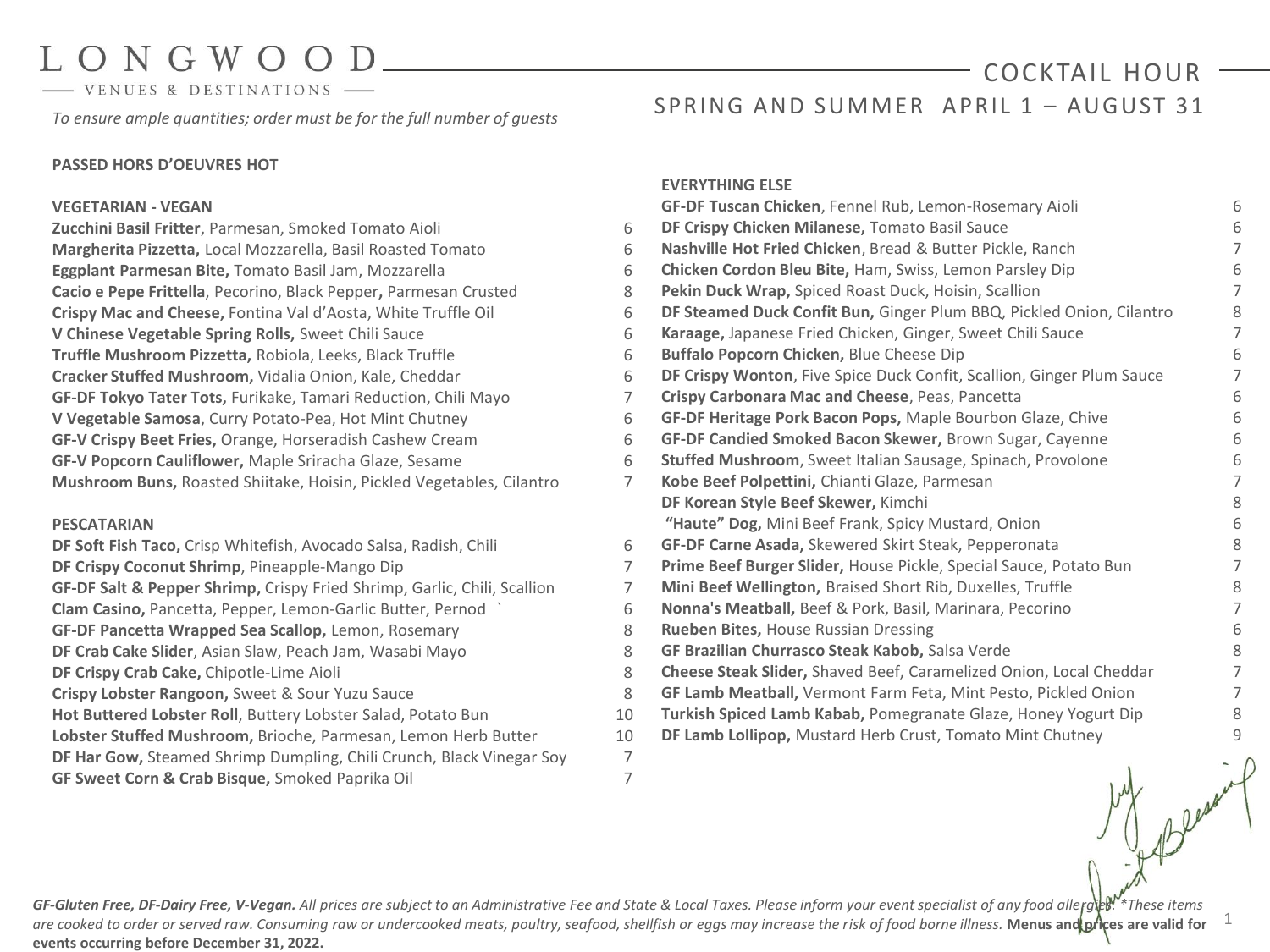# $ONGWOO$

VENUES & DESTINATIONS

*To ensure ample quantities; order must be for the full number of guests*

#### **PASSED HORS D'OEUVRES HOT**

#### **VEGETARIAN - VEGAN**

**Zucchini Basil Fritter**, Parmesan, Smoked Tomato Aioli 6 **Margherita Pizzetta,** Local Mozzarella, Basil Roasted Tomato 6 **Eggplant Parmesan Bite,** Tomato Basil Jam, Mozzarella 6 **Cacio e Pepe Frittella**, Pecorino, Black Pepper**,** Parmesan Crusted 8 **Crispy Mac and Cheese,** Fontina Val d'Aosta, White Truffle Oil 6 **V Chinese Vegetable Spring Rolls,** Sweet Chili Sauce 6 **Truffle Mushroom Pizzetta,** Robiola, Leeks, Black Truffle 6 **Cracker Stuffed Mushroom,** Vidalia Onion, Kale, Cheddar 6 **GF-DF Tokyo Tater Tots,** Furikake, Tamari Reduction, Chili Mayo 7 **V Vegetable Samosa**, Curry Potato-Pea, Hot Mint Chutney 6 **GF-V Crispy Beet Fries,** Orange, Horseradish Cashew Cream 6 **GF-V Popcorn Cauliflower,** Maple Sriracha Glaze, Sesame 6 **Mushroom Buns,** Roasted Shiitake, Hoisin, Pickled Vegetables, Cilantro 7

#### **PESCATARIAN**

**DF Soft Fish Taco,** Crisp Whitefish, Avocado Salsa, Radish, Chili 6 **DF Crispy Coconut Shrimp**, Pineapple-Mango Dip **GF-DF Salt & Pepper Shrimp,** Crispy Fried Shrimp, Garlic, Chili, Scallion 7 **Clam Casino,** Pancetta, Pepper, Lemon-Garlic Butter, Pernod ` 6 **GF-DF Pancetta Wrapped Sea Scallop,** Lemon, Rosemary 8 **DF Crab Cake Slider**, Asian Slaw, Peach Jam, Wasabi Mayo 8 **DF Crispy Crab Cake, Chipotle-Lime Aioli Crispy Lobster Rangoon,** Sweet & Sour Yuzu Sauce 8 Hot Buttered Lobster Roll, Buttery Lobster Salad, Potato Bun Lobster Stuffed Mushroom, Brioche, Parmesan, Lemon Herb Butter **DF Har Gow,** Steamed Shrimp Dumpling, Chili Crunch, Black Vinegar Soy 7 **GF Sweet Corn & Crab Bisque,** Smoked Paprika Oil 7

#### **EVERYTHING ELSE**

|                | GF-DF Tuscan Chicken, Fennel Rub, Lemon-Rosemary Aioli                | 6              |
|----------------|-----------------------------------------------------------------------|----------------|
| 6              | DF Crispy Chicken Milanese, Tomato Basil Sauce                        | 6              |
| 6              | Nashville Hot Fried Chicken, Bread & Butter Pickle, Ranch             | $\overline{7}$ |
| 6              | Chicken Cordon Bleu Bite, Ham, Swiss, Lemon Parsley Dip               | 6              |
| 8              | Pekin Duck Wrap, Spiced Roast Duck, Hoisin, Scallion                  | 7              |
| 6              | DF Steamed Duck Confit Bun, Ginger Plum BBQ, Pickled Onion, Cilantro  | 8              |
| 6              | Karaage, Japanese Fried Chicken, Ginger, Sweet Chili Sauce            | $\overline{7}$ |
| 6              | Buffalo Popcorn Chicken, Blue Cheese Dip                              | 6              |
| 6              | DF Crispy Wonton, Five Spice Duck Confit, Scallion, Ginger Plum Sauce | $\overline{7}$ |
| 7              | Crispy Carbonara Mac and Cheese, Peas, Pancetta                       | 6              |
| 6              | GF-DF Heritage Pork Bacon Pops, Maple Bourbon Glaze, Chive            | 6              |
| 6              | GF-DF Candied Smoked Bacon Skewer, Brown Sugar, Cayenne               | 6              |
| 6              | Stuffed Mushroom, Sweet Italian Sausage, Spinach, Provolone           | 6              |
| 7              | Kobe Beef Polpettini, Chianti Glaze, Parmesan                         | 7              |
|                | DF Korean Style Beef Skewer, Kimchi                                   | 8              |
|                | "Haute" Dog, Mini Beef Frank, Spicy Mustard, Onion                    | 6              |
| 6              | GF-DF Carne Asada, Skewered Skirt Steak, Pepperonata                  | 8              |
| $\overline{7}$ | Prime Beef Burger Slider, House Pickle, Special Sauce, Potato Bun     | $\overline{7}$ |
| 7              | Mini Beef Wellington, Braised Short Rib, Duxelles, Truffle            | 8              |
| 6              | Nonna's Meatball, Beef & Pork, Basil, Marinara, Pecorino              | $\overline{7}$ |
| 8              | Rueben Bites, House Russian Dressing                                  | 6              |
| 8              | GF Brazilian Churrasco Steak Kabob, Salsa Verde                       | 8              |
| 8              | Cheese Steak Slider, Shaved Beef, Caramelized Onion, Local Cheddar    | 7              |
| 8              | GF Lamb Meatball, Vermont Farm Feta, Mint Pesto, Pickled Onion        | 7              |
| 10             | Turkish Spiced Lamb Kabab, Pomegranate Glaze, Honey Yogurt Dip        | 8              |
| 10             | DF Lamb Lollipop, Mustard Herb Crust, Tomato Mint Chutney             | 9              |
| $\overline{ }$ |                                                                       |                |

1

SPRING AND SUMMER APRIL 1 - AUGUST 31

COCKTAIL HOUR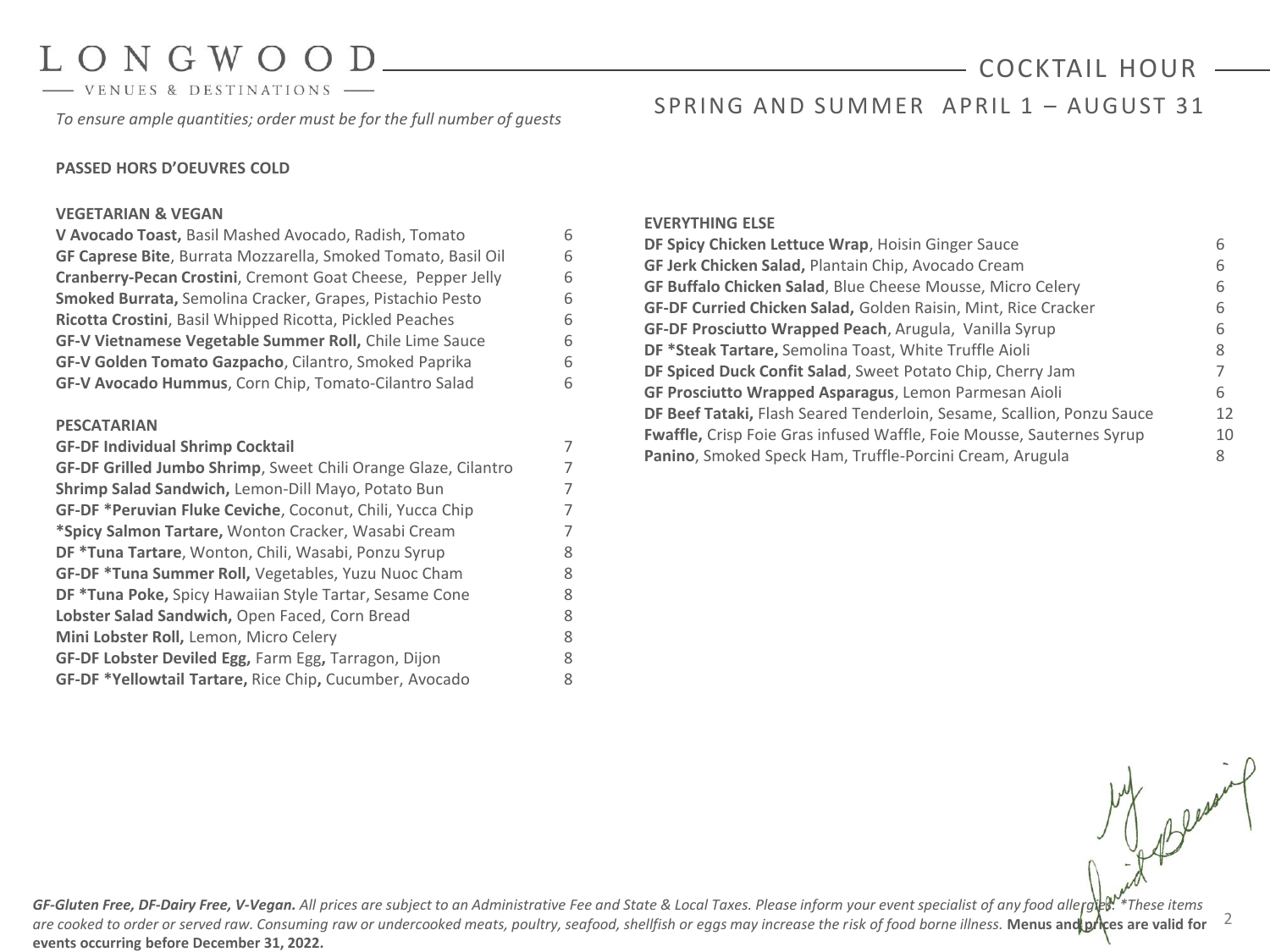- VENUES & DESTINATIONS

*To ensure ample quantities; order must be for the full number of guests*

# COCKTAIL HOUR

### SPRING AND SUMMER APRIL 1 - AUGUST 31

#### **PASSED HORS D'OEUVRES COLD**

#### **VEGETARIAN & VEGAN**

| V Avocado Toast, Basil Mashed Avocado, Radish, Tomato          | 6 |
|----------------------------------------------------------------|---|
| GF Caprese Bite, Burrata Mozzarella, Smoked Tomato, Basil Oil  | 6 |
| Cranberry-Pecan Crostini, Cremont Goat Cheese, Pepper Jelly    | 6 |
| Smoked Burrata, Semolina Cracker, Grapes, Pistachio Pesto      | 6 |
| Ricotta Crostini, Basil Whipped Ricotta, Pickled Peaches       | 6 |
| GF-V Vietnamese Vegetable Summer Roll, Chile Lime Sauce        | 6 |
| GF-V Golden Tomato Gazpacho, Cilantro, Smoked Paprika          | 6 |
| GF-V Avocado Hummus, Corn Chip, Tomato-Cilantro Salad          | 6 |
|                                                                |   |
| <b>PESCATARIAN</b>                                             |   |
| <b>GF-DF Individual Shrimp Cocktail</b>                        | 7 |
| GF-DF Grilled Jumbo Shrimp, Sweet Chili Orange Glaze, Cilantro | 7 |
| Shrimp Salad Sandwich, Lemon-Dill Mayo, Potato Bun             | 7 |
| GF-DF *Peruvian Fluke Ceviche, Coconut, Chili, Yucca Chip      | 7 |
| *Spicy Salmon Tartare, Wonton Cracker, Wasabi Cream            | 7 |
| DF *Tuna Tartare, Wonton, Chili, Wasabi, Ponzu Syrup           | 8 |
| GF-DF *Tuna Summer Roll, Vegetables, Yuzu Nuoc Cham            | 8 |
| <b>DF *Tuna Poke, Spicy Hawaiian Style Tartar, Sesame Cone</b> | 8 |
| Lobster Salad Sandwich, Open Faced, Corn Bread                 | 8 |
| Mini Lobster Roll, Lemon, Micro Celery                         | 8 |
| GF-DF Lobster Deviled Egg, Farm Egg, Tarragon, Dijon           | 8 |
| GF-DF *Yellowtail Tartare, Rice Chip, Cucumber, Avocado        | 8 |

#### **EVERYTHING ELSE**

| DF Spicy Chicken Lettuce Wrap, Hoisin Ginger Sauce                     |    |
|------------------------------------------------------------------------|----|
| <b>GF Jerk Chicken Salad, Plantain Chip, Avocado Cream</b>             | 6  |
| <b>GF Buffalo Chicken Salad, Blue Cheese Mousse, Micro Celery</b>      | 6  |
| <b>GF-DF Curried Chicken Salad, Golden Raisin, Mint, Rice Cracker</b>  | h  |
| GF-DF Prosciutto Wrapped Peach, Arugula, Vanilla Syrup                 | 6  |
| DF *Steak Tartare, Semolina Toast, White Truffle Aioli                 | 8  |
| DF Spiced Duck Confit Salad, Sweet Potato Chip, Cherry Jam             |    |
| GF Prosciutto Wrapped Asparagus, Lemon Parmesan Aioli                  | 6. |
| DF Beef Tataki, Flash Seared Tenderloin, Sesame, Scallion, Ponzu Sauce | 12 |
| Fwaffle, Crisp Foie Gras infused Waffle, Foie Mousse, Sauternes Syrup  | 10 |
| Panino, Smoked Speck Ham, Truffle-Porcini Cream, Arugula               | 8  |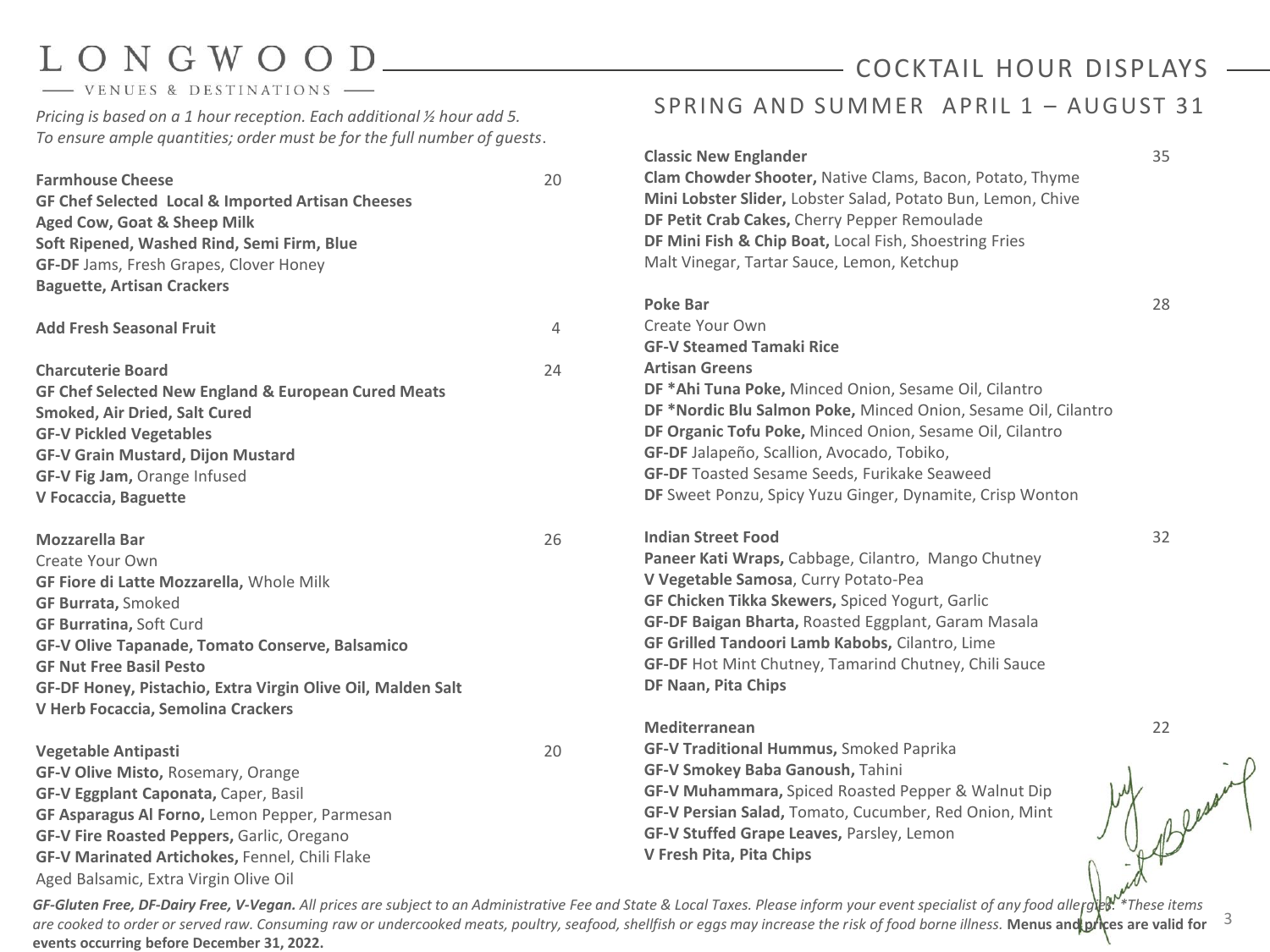### - VENUES & DESTINATIONS

*Pricing is based on a 1 hour reception. Each additional ½ hour add 5. To ensure ample quantities; order must be for the full number of guests*.

| <b>Classic New Englander</b>                                                                                            | 35 |
|-------------------------------------------------------------------------------------------------------------------------|----|
| Clam Chowder Shooter, Native Clams, Bacon, Potato, Thyme<br>20<br><b>Farmhouse Cheese</b>                               |    |
| Mini Lobster Slider, Lobster Salad, Potato Bun, Lemon, Chive<br>GF Chef Selected Local & Imported Artisan Cheeses       |    |
| DF Petit Crab Cakes, Cherry Pepper Remoulade<br>Aged Cow, Goat & Sheep Milk                                             |    |
| DF Mini Fish & Chip Boat, Local Fish, Shoestring Fries<br>Soft Ripened, Washed Rind, Semi Firm, Blue                    |    |
| Malt Vinegar, Tartar Sauce, Lemon, Ketchup<br><b>GF-DF</b> Jams, Fresh Grapes, Clover Honey                             |    |
| <b>Baguette, Artisan Crackers</b>                                                                                       |    |
| <b>Poke Bar</b>                                                                                                         | 28 |
| Create Your Own<br>$\overline{4}$<br><b>Add Fresh Seasonal Fruit</b>                                                    |    |
| <b>GF-V Steamed Tamaki Rice</b>                                                                                         |    |
| <b>Artisan Greens</b><br>24<br><b>Charcuterie Board</b>                                                                 |    |
| DF *Ahi Tuna Poke, Minced Onion, Sesame Oil, Cilantro<br><b>GF Chef Selected New England &amp; European Cured Meats</b> |    |
| DF *Nordic Blu Salmon Poke, Minced Onion, Sesame Oil, Cilantro<br><b>Smoked, Air Dried, Salt Cured</b>                  |    |
| DF Organic Tofu Poke, Minced Onion, Sesame Oil, Cilantro<br><b>GF-V Pickled Vegetables</b>                              |    |
| GF-DF Jalapeño, Scallion, Avocado, Tobiko,<br><b>GF-V Grain Mustard, Dijon Mustard</b>                                  |    |
| <b>GF-DF</b> Toasted Sesame Seeds, Furikake Seaweed<br>GF-V Fig Jam, Orange Infused                                     |    |
|                                                                                                                         |    |
| DF Sweet Ponzu, Spicy Yuzu Ginger, Dynamite, Crisp Wonton                                                               |    |
| V Focaccia, Baguette                                                                                                    |    |
| <b>Indian Street Food</b><br>26<br><b>Mozzarella Bar</b>                                                                | 32 |
| Paneer Kati Wraps, Cabbage, Cilantro, Mango Chutney<br>Create Your Own                                                  |    |
| V Vegetable Samosa, Curry Potato-Pea<br>GF Fiore di Latte Mozzarella, Whole Milk                                        |    |
| GF Chicken Tikka Skewers, Spiced Yogurt, Garlic<br><b>GF Burrata, Smoked</b>                                            |    |
| GF-DF Baigan Bharta, Roasted Eggplant, Garam Masala<br><b>GF Burratina, Soft Curd</b>                                   |    |
| GF Grilled Tandoori Lamb Kabobs, Cilantro, Lime<br>GF-V Olive Tapanade, Tomato Conserve, Balsamico                      |    |
| GF-DF Hot Mint Chutney, Tamarind Chutney, Chili Sauce<br><b>GF Nut Free Basil Pesto</b>                                 |    |
| DF Naan, Pita Chips<br>GF-DF Honey, Pistachio, Extra Virgin Olive Oil, Malden Salt                                      |    |
| V Herb Focaccia, Semolina Crackers                                                                                      |    |
| <b>Mediterranean</b>                                                                                                    | 22 |
| <b>GF-V Traditional Hummus, Smoked Paprika</b><br>20<br><b>Vegetable Antipasti</b>                                      |    |
| GF-V Smokey Baba Ganoush, Tahini<br>GF-V Olive Misto, Rosemary, Orange                                                  |    |
| GF-V Muhammara, Spiced Roasted Pepper & Walnut Dip<br>GF-V Eggplant Caponata, Caper, Basil                              |    |
| GF-V Persian Salad, Tomato, Cucumber, Red Onion, Mint<br>GF Asparagus Al Forno, Lemon Pepper, Parmesan                  |    |
| GF-V Stuffed Grape Leaves, Parsley, Lemon<br>GF-V Fire Roasted Peppers, Garlic, Oregano                                 |    |
| V Fresh Pita, Pita Chips<br><b>GF-V Marinated Artichokes, Fennel, Chili Flake</b>                                       |    |

SPRING AND SUMMER APRIL 1 - AUGUST 31

COCKTAIL HOUR DISPLAYS

are cooked to order or served raw. Consuming raw or undercooked meats, poultry, seafood, shellfish or eggs may increase the risk of food borne illness. Menus and prices are valid for <sup>3</sup> GF-Gluten Free, DF-Dairy Free, V-Vegan. All prices are subject to an Administrative Fee and State & Local Taxes. Please inform your event specialist of any food allergies.<sup>W\*</sup>These items **events occurring before December 31, 2022.**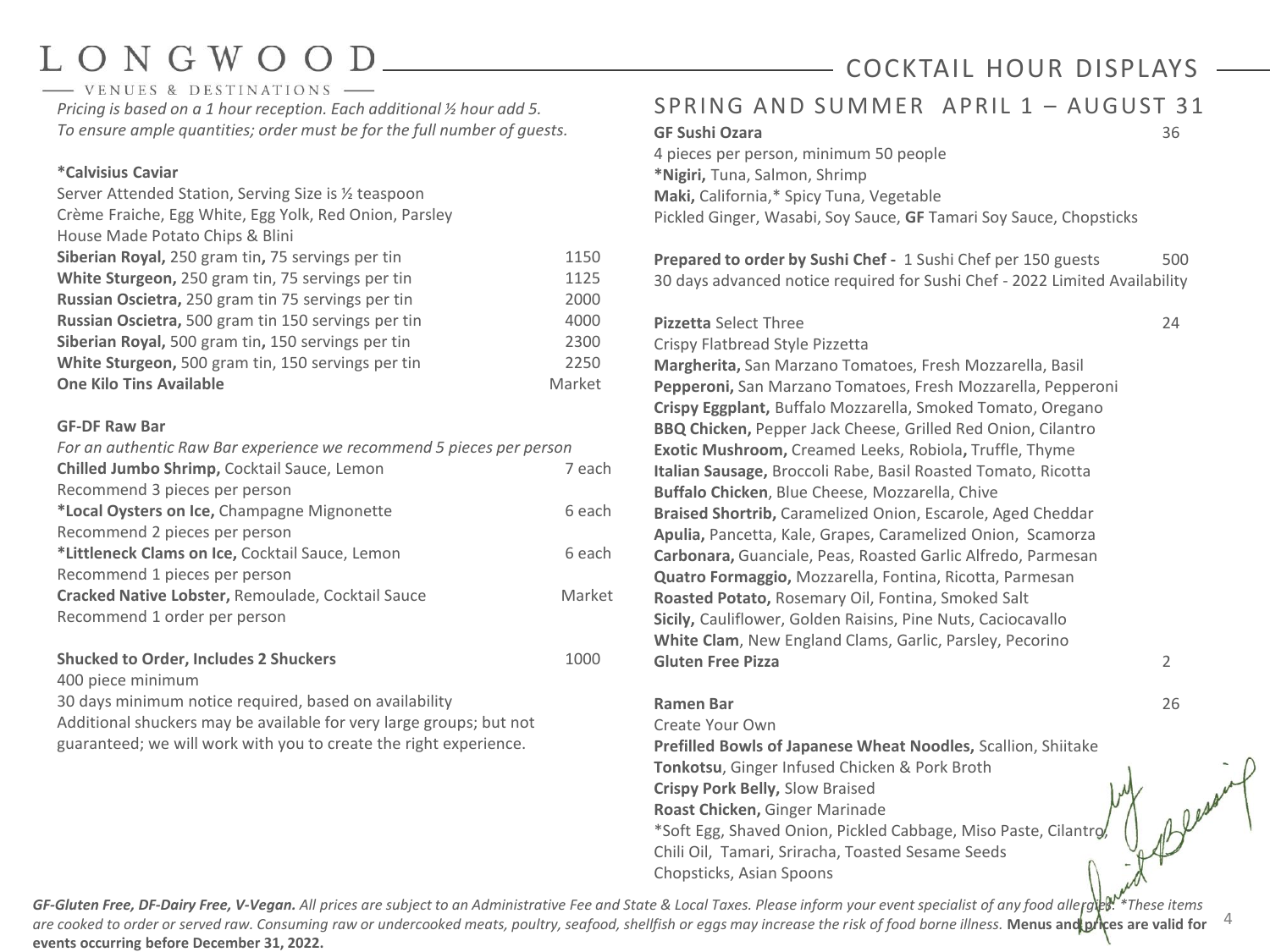# $ONGWO$

- VENUES & DESTINATIONS *Pricing is based on a 1 hour reception. Each additional ½ hour add 5. To ensure ample quantities; order must be for the full number of guests.*

#### **\*Calvisius Caviar**

| Server Attended Station, Serving Size is 1/2 teaspoon  |        |
|--------------------------------------------------------|--------|
| Crème Fraiche, Egg White, Egg Yolk, Red Onion, Parsley |        |
| House Made Potato Chips & Blini                        |        |
| Siberian Royal, 250 gram tin, 75 servings per tin      | 1150   |
| White Sturgeon, 250 gram tin, 75 servings per tin      | 1125   |
| Russian Oscietra, 250 gram tin 75 servings per tin     | 2000   |
| Russian Oscietra, 500 gram tin 150 servings per tin    | 4000   |
| Siberian Royal, 500 gram tin, 150 servings per tin     | 2300   |
| White Sturgeon, 500 gram tin, 150 servings per tin     | 2250   |
| <b>One Kilo Tins Available</b>                         | Market |
|                                                        |        |

#### **GF-DF Raw Bar**

| For an authentic Raw Bar experience we recommend 5 pieces per person |        |
|----------------------------------------------------------------------|--------|
| Chilled Jumbo Shrimp, Cocktail Sauce, Lemon                          | 7 each |
| Recommend 3 pieces per person                                        |        |
| *Local Oysters on Ice, Champagne Mignonette                          | 6 each |
| Recommend 2 pieces per person                                        |        |
| *Littleneck Clams on Ice, Cocktail Sauce, Lemon                      | 6 each |
| Recommend 1 pieces per person                                        |        |
| Cracked Native Lobster, Remoulade, Cocktail Sauce                    | Market |
| Recommend 1 order per person                                         |        |
|                                                                      |        |

#### **Shucked to Order, Includes 2 Shuckers** 1000

400 piece minimum

30 days minimum notice required, based on availability

Additional shuckers may be available for very large groups; but not guaranteed; we will work with you to create the right experience.

## COCKTAIL HOUR DISPLAYS

### SPRING AND SUMMER APRIL 1 - AUGUST 31

### **GF Sushi Ozara** 36

4 pieces per person, minimum 50 people **\*Nigiri,** Tuna, Salmon, Shrimp **Maki,** California,\* Spicy Tuna, Vegetable Pickled Ginger, Wasabi, Soy Sauce, **GF** Tamari Soy Sauce, Chopsticks

**Prepared to order by Sushi Chef -** 1 Sushi Chef per 150 guests 500 30 days advanced notice required for Sushi Chef - 2022 Limited Availability

#### **Pizzetta** Select Three 24

#### Crispy Flatbread Style Pizzetta

**Margherita,** San Marzano Tomatoes, Fresh Mozzarella, Basil **Pepperoni,** San Marzano Tomatoes, Fresh Mozzarella, Pepperoni **Crispy Eggplant,** Buffalo Mozzarella, Smoked Tomato, Oregano **BBQ Chicken,** Pepper Jack Cheese, Grilled Red Onion, Cilantro **Exotic Mushroom,** Creamed Leeks, Robiola**,** Truffle, Thyme **Italian Sausage,** Broccoli Rabe, Basil Roasted Tomato, Ricotta **Buffalo Chicken**, Blue Cheese, Mozzarella, Chive **Braised Shortrib,** Caramelized Onion, Escarole, Aged Cheddar **Apulia,** Pancetta, Kale, Grapes, Caramelized Onion, Scamorza **Carbonara,** Guanciale, Peas, Roasted Garlic Alfredo, Parmesan **Quatro Formaggio,** Mozzarella, Fontina, Ricotta, Parmesan **Roasted Potato,** Rosemary Oil, Fontina, Smoked Salt **Sicily,** Cauliflower, Golden Raisins, Pine Nuts, Caciocavallo **White Clam**, New England Clams, Garlic, Parsley, Pecorino **Gluten Free Pizza** 2

#### **Ramen Bar** 26

Create Your Own **Prefilled Bowls of Japanese Wheat Noodles,** Scallion, Shiitake **Tonkotsu**, Ginger Infused Chicken & Pork Broth **Crispy Pork Belly,** Slow Braised **Roast Chicken,** Ginger Marinade \*Soft Egg, Shaved Onion, Pickled Cabbage, Miso Paste, Cilantro, Chili Oil, Tamari, Sriracha, Toasted Sesame Seeds Chopsticks, Asian Spoons

4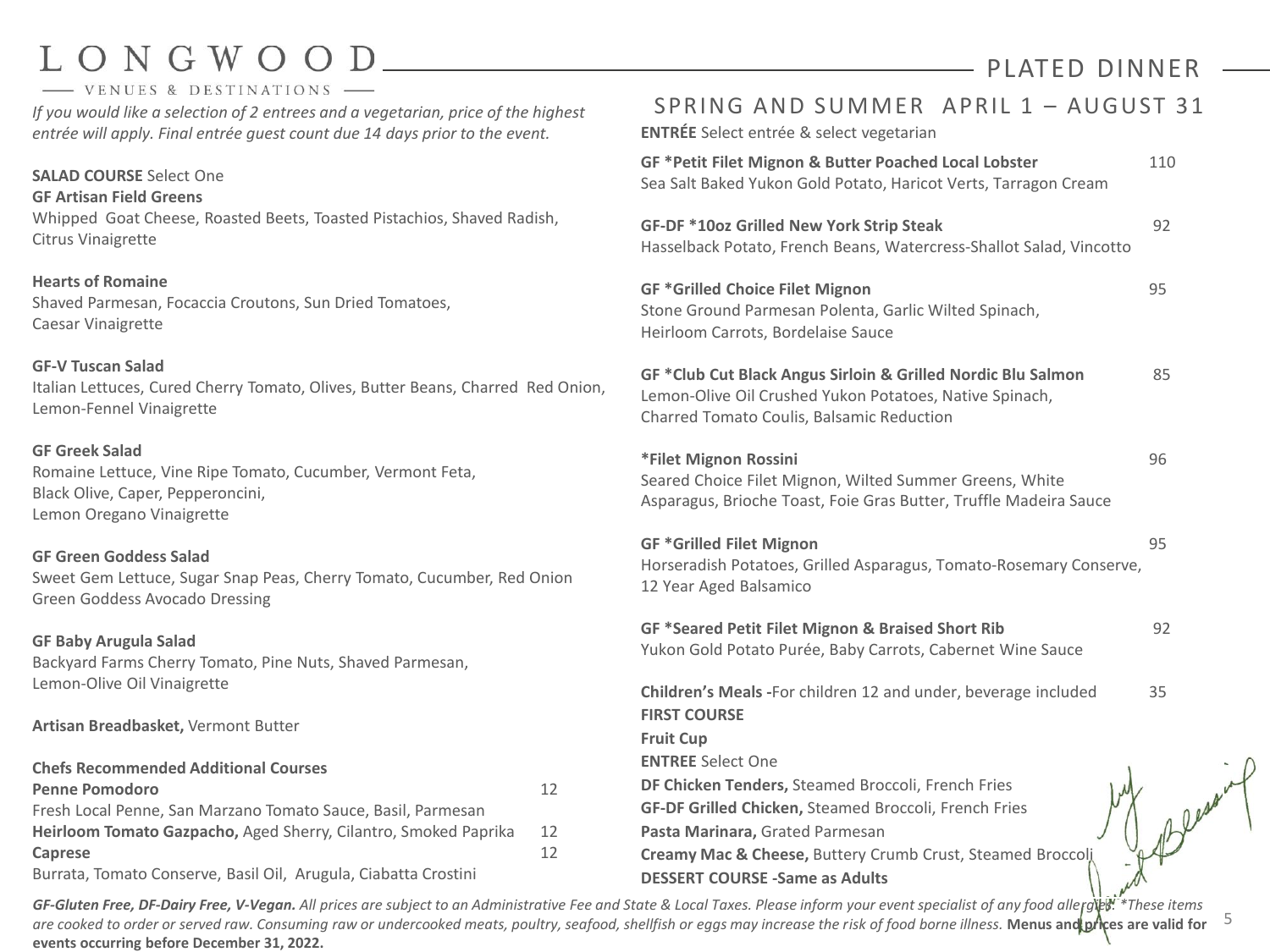### LONGWOO - VENUES & DESTINATIONS

## PLATED DINNER

5

*If you would like a selection of 2 entrees and a vegetarian, price of the highest entrée will apply. Final entrée guest count due 14 days prior to the event.* 

**SALAD COURSE** Select One **GF Artisan Field Greens** Whipped Goat Cheese, Roasted Beets, Toasted Pistachios, Shaved Radish, Citrus Vinaigrette

**Hearts of Romaine** Shaved Parmesan, Focaccia Croutons, Sun Dried Tomatoes, Caesar Vinaigrette

**GF-V Tuscan Salad** Italian Lettuces, Cured Cherry Tomato, Olives, Butter Beans, Charred Red Onion, Lemon-Fennel Vinaigrette

**GF Greek Salad** Romaine Lettuce, Vine Ripe Tomato, Cucumber, Vermont Feta, Black Olive, Caper, Pepperoncini, Lemon Oregano Vinaigrette

#### **GF Green Goddess Salad** Sweet Gem Lettuce, Sugar Snap Peas, Cherry Tomato, Cucumber, Red Onion Green Goddess Avocado Dressing

#### **GF Baby Arugula Salad**

Backyard Farms Cherry Tomato, Pine Nuts, Shaved Parmesan, Lemon-Olive Oil Vinaigrette

**Artisan Breadbasket,** Vermont Butter

| <b>Chefs Recommended Additional Courses</b>                     |    |
|-----------------------------------------------------------------|----|
| <b>Penne Pomodoro</b>                                           | 12 |
| Fresh Local Penne, San Marzano Tomato Sauce, Basil, Parmesan    |    |
| Heirloom Tomato Gazpacho, Aged Sherry, Cilantro, Smoked Paprika |    |
| Caprese                                                         | 12 |
| Burrata, Tomato Conserve, Basil Oil, Arugula, Ciabatta Crostini |    |

| <b>ENTRÉE</b> Select entrée & select vegetarian                                                                                                                      |     |
|----------------------------------------------------------------------------------------------------------------------------------------------------------------------|-----|
| GF *Petit Filet Mignon & Butter Poached Local Lobster<br>Sea Salt Baked Yukon Gold Potato, Haricot Verts, Tarragon Cream                                             | 110 |
| <b>GF-DF *10oz Grilled New York Strip Steak</b><br>Hasselback Potato, French Beans, Watercress-Shallot Salad, Vincotto                                               | 92  |
| <b>GF *Grilled Choice Filet Mignon</b><br>Stone Ground Parmesan Polenta, Garlic Wilted Spinach,<br>Heirloom Carrots, Bordelaise Sauce                                | 95  |
| GF *Club Cut Black Angus Sirloin & Grilled Nordic Blu Salmon<br>Lemon-Olive Oil Crushed Yukon Potatoes, Native Spinach,<br>Charred Tomato Coulis, Balsamic Reduction | 85  |
| *Filet Mignon Rossini<br>Seared Choice Filet Mignon, Wilted Summer Greens, White<br>Asparagus, Brioche Toast, Foie Gras Butter, Truffle Madeira Sauce                | 96  |
| <b>GF *Grilled Filet Mignon</b><br>Horseradish Potatoes, Grilled Asparagus, Tomato-Rosemary Conserve,<br>12 Year Aged Balsamico                                      | 95  |
| GF *Seared Petit Filet Mignon & Braised Short Rib<br>Yukon Gold Potato Purée, Baby Carrots, Cabernet Wine Sauce                                                      | 92  |
| Children's Meals - For children 12 and under, beverage included<br><b>FIRST COURSE</b><br><b>Fruit Cup</b>                                                           | 35  |
| <b>ENTREE Select One</b>                                                                                                                                             |     |
| DF Chicken Tenders, Steamed Broccoli, French Fries                                                                                                                   |     |
| GF-DF Grilled Chicken, Steamed Broccoli, French Fries<br>Pasta Marinara, Grated Parmesan                                                                             |     |
| Creamy Mac & Cheese, Buttery Crumb Crust, Steamed Broccol,                                                                                                           |     |
| <b>DESSERT COURSE -Same as Adults</b>                                                                                                                                |     |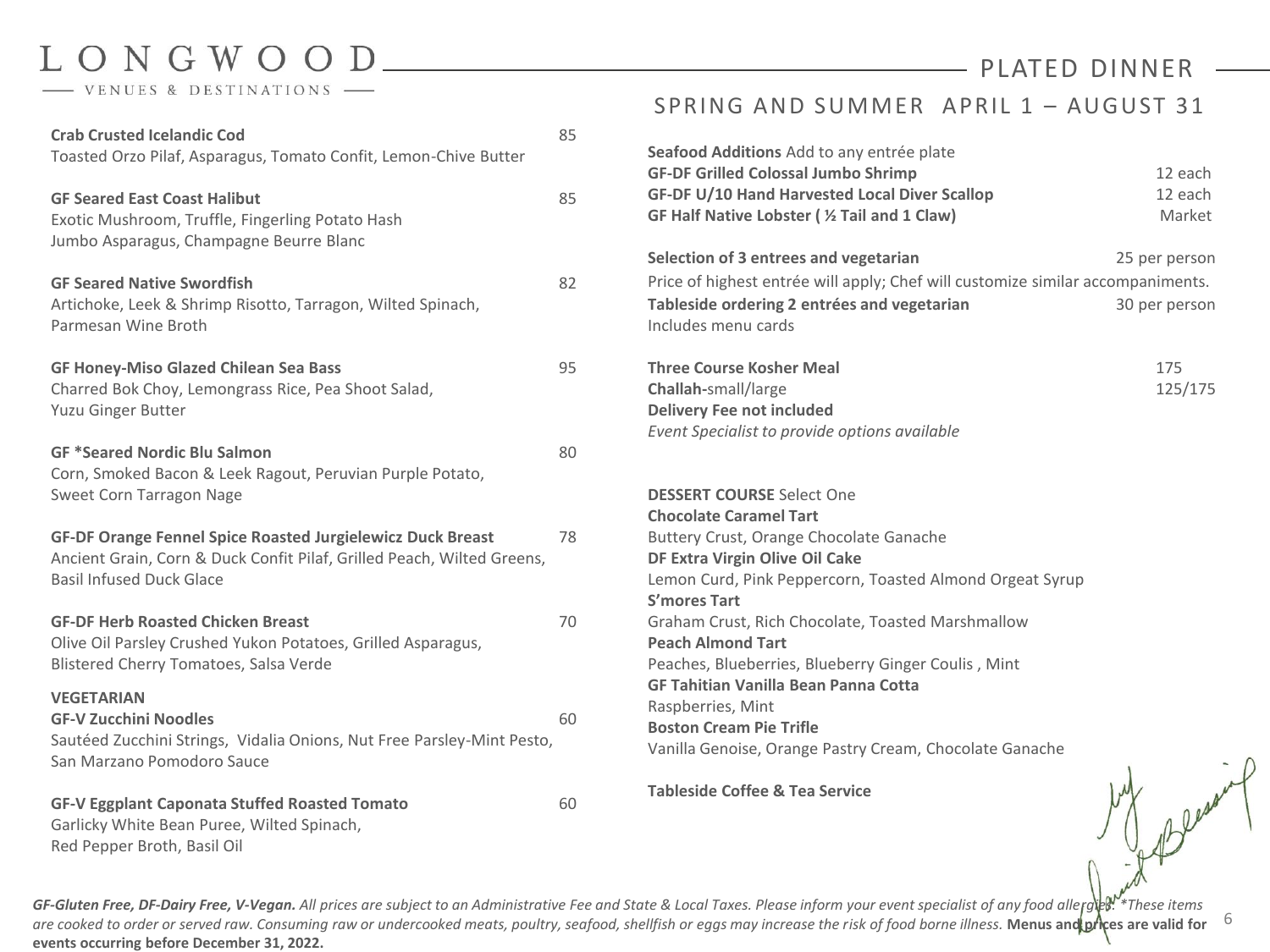- VENUES & DESTINATIONS -

## - PLATED DINNER

| <b>Crab Crusted Icelandic Cod</b><br>Toasted Orzo Pilaf, Asparagus, Tomato Confit, Lemon-Chive Butter                                                                          | 85 |
|--------------------------------------------------------------------------------------------------------------------------------------------------------------------------------|----|
| <b>GF Seared East Coast Halibut</b><br>Exotic Mushroom, Truffle, Fingerling Potato Hash<br>Jumbo Asparagus, Champagne Beurre Blanc                                             | 85 |
| <b>GF Seared Native Swordfish</b><br>Artichoke, Leek & Shrimp Risotto, Tarragon, Wilted Spinach,<br>Parmesan Wine Broth                                                        | 82 |
| <b>GF Honey-Miso Glazed Chilean Sea Bass</b><br>Charred Bok Choy, Lemongrass Rice, Pea Shoot Salad,<br>Yuzu Ginger Butter                                                      | 95 |
| <b>GF *Seared Nordic Blu Salmon</b><br>Corn, Smoked Bacon & Leek Ragout, Peruvian Purple Potato,<br>Sweet Corn Tarragon Nage                                                   | 80 |
| <b>GF-DF Orange Fennel Spice Roasted Jurgielewicz Duck Breast</b><br>Ancient Grain, Corn & Duck Confit Pilaf, Grilled Peach, Wilted Greens,<br><b>Basil Infused Duck Glace</b> | 78 |
| <b>GF-DF Herb Roasted Chicken Breast</b><br>Olive Oil Parsley Crushed Yukon Potatoes, Grilled Asparagus,<br>Blistered Cherry Tomatoes, Salsa Verde                             | 70 |
| <b>VEGETARIAN</b><br><b>GF-V Zucchini Noodles</b><br>Sautéed Zucchini Strings, Vidalia Onions, Nut Free Parsley-Mint Pesto,<br>San Marzano Pomodoro Sauce                      | 60 |
| <b>GF-V Eggplant Caponata Stuffed Roasted Tomato</b><br>Garlicky White Bean Puree, Wilted Spinach,<br>Red Pepper Broth, Basil Oil                                              | 60 |

### SPRING AND SUMMER APRIL 1 - AUGUST 31

| Seafood Additions Add to any entrée plate<br><b>GF-DF Grilled Colossal Jumbo Shrimp</b><br>GF-DF U/10 Hand Harvested Local Diver Scallop<br>GF Half Native Lobster ( % Tail and 1 Claw)                                                                                                                                                                                                                                                                                                                                             | 12 each<br>12 each<br>Market   |  |
|-------------------------------------------------------------------------------------------------------------------------------------------------------------------------------------------------------------------------------------------------------------------------------------------------------------------------------------------------------------------------------------------------------------------------------------------------------------------------------------------------------------------------------------|--------------------------------|--|
| Selection of 3 entrees and vegetarian<br>Price of highest entrée will apply; Chef will customize similar accompaniments.<br>Tableside ordering 2 entrées and vegetarian<br>Includes menu cards                                                                                                                                                                                                                                                                                                                                      | 25 per person<br>30 per person |  |
| <b>Three Course Kosher Meal</b><br>Challah-small/large<br><b>Delivery Fee not included</b><br>Event Specialist to provide options available                                                                                                                                                                                                                                                                                                                                                                                         | 175<br>125/175                 |  |
| <b>DESSERT COURSE Select One</b><br><b>Chocolate Caramel Tart</b><br>Buttery Crust, Orange Chocolate Ganache<br>DF Extra Virgin Olive Oil Cake<br>Lemon Curd, Pink Peppercorn, Toasted Almond Orgeat Syrup<br>S'mores Tart<br>Graham Crust, Rich Chocolate, Toasted Marshmallow<br><b>Peach Almond Tart</b><br>Peaches, Blueberries, Blueberry Ginger Coulis, Mint<br><b>GF Tahitian Vanilla Bean Panna Cotta</b><br>Raspberries, Mint<br><b>Boston Cream Pie Trifle</b><br>Vanilla Genoise, Orange Pastry Cream, Chocolate Ganache |                                |  |
| $\cdots$ $\cdots$ $\cdots$ $\cdots$                                                                                                                                                                                                                                                                                                                                                                                                                                                                                                 | $\mathbf{u}$                   |  |

**Tableside Coffee & Tea Service**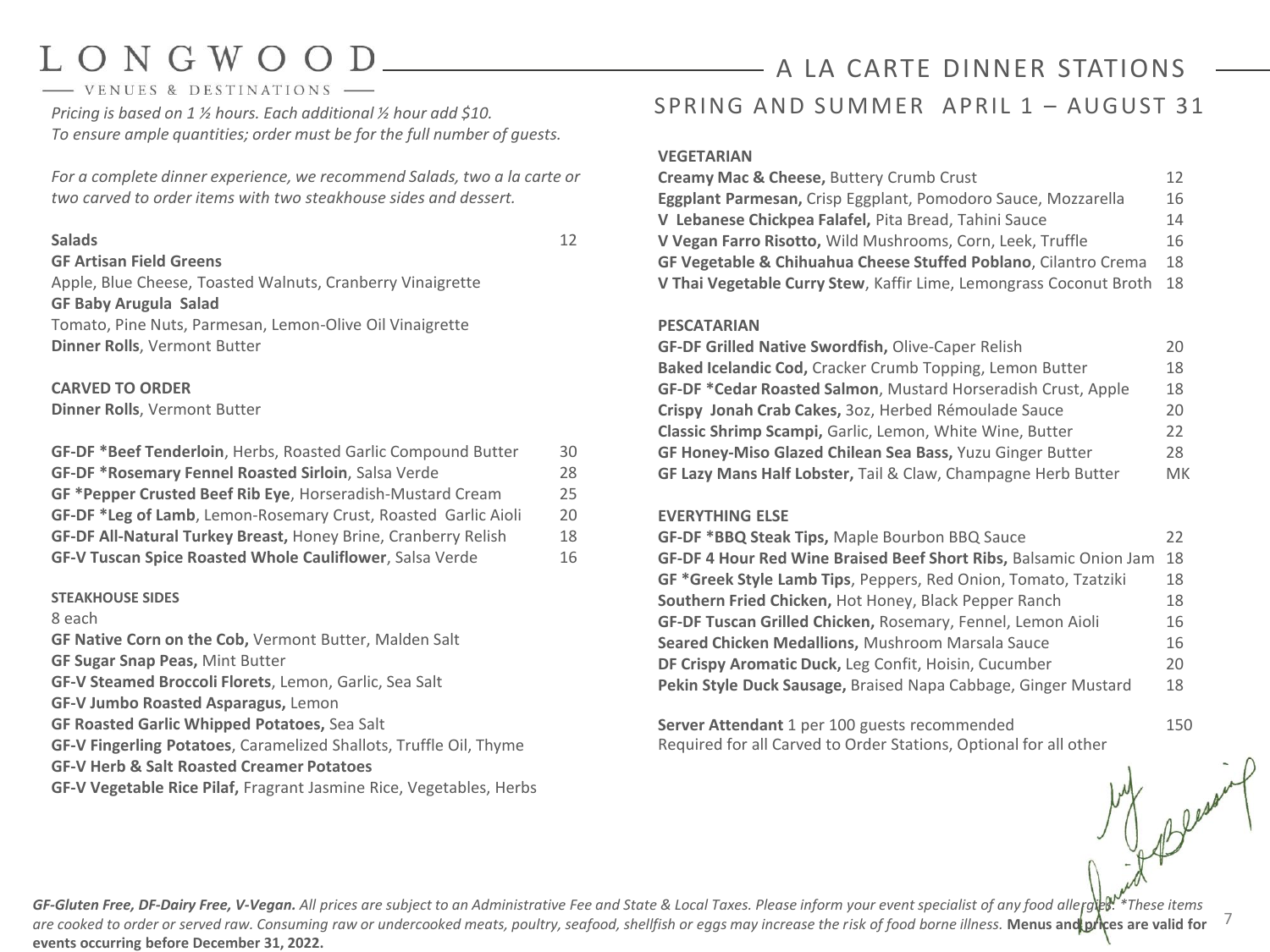# $ONGWO$

- VENUES & DESTINATIONS

*Pricing is based on 1 ½ hours. Each additional ½ hour add \$10. To ensure ample quantities; order must be for the full number of guests.*

*For a complete dinner experience, we recommend Salads, two a la carte or two carved to order items with two steakhouse sides and dessert.* 

#### **Salads** 12

#### **GF Artisan Field Greens**

Apple, Blue Cheese, Toasted Walnuts, Cranberry Vinaigrette **GF Baby Arugula Salad** Tomato, Pine Nuts, Parmesan, Lemon-Olive Oil Vinaigrette **Dinner Rolls**, Vermont Butter

#### **CARVED TO ORDER**

**Dinner Rolls**, Vermont Butter

| <b>GF-DF *Beef Tenderloin</b> , Herbs, Roasted Garlic Compound Butter | 30 |
|-----------------------------------------------------------------------|----|
| <b>GF-DF *Rosemary Fennel Roasted Sirloin, Salsa Verde</b>            | 28 |
| <b>GF *Pepper Crusted Beef Rib Eye, Horseradish-Mustard Cream</b>     | 25 |
| GF-DF *Leg of Lamb, Lemon-Rosemary Crust, Roasted Garlic Aioli        | 20 |
| GF-DF All-Natural Turkey Breast, Honey Brine, Cranberry Relish        | 18 |
| GF-V Tuscan Spice Roasted Whole Cauliflower, Salsa Verde              | 16 |

#### **STEAKHOUSE SIDES**

#### 8 each

**GF Native Corn on the Cob,** Vermont Butter, Malden Salt

**GF Sugar Snap Peas,** Mint Butter

**GF-V Steamed Broccoli Florets**, Lemon, Garlic, Sea Salt

- **GF-V Jumbo Roasted Asparagus,** Lemon
- **GF Roasted Garlic Whipped Potatoes,** Sea Salt
- **GF-V Fingerling Potatoes**, Caramelized Shallots, Truffle Oil, Thyme
- **GF-V Herb & Salt Roasted Creamer Potatoes**
- **GF-V Vegetable Rice Pilaf,** Fragrant Jasmine Rice, Vegetables, Herbs

## SPRING AND SUMMER APRIL 1 - AUGUST 31 A LA CARTE DINNER STATIONS

#### **VEGETARIAN**

| <b>Creamy Mac &amp; Cheese, Buttery Crumb Crust</b>                        | 12  |
|----------------------------------------------------------------------------|-----|
| Eggplant Parmesan, Crisp Eggplant, Pomodoro Sauce, Mozzarella              | 16  |
| V Lebanese Chickpea Falafel, Pita Bread, Tahini Sauce                      | 14  |
| V Vegan Farro Risotto, Wild Mushrooms, Corn, Leek, Truffle                 | 16  |
| <b>GF Vegetable &amp; Chihuahua Cheese Stuffed Poblano, Cilantro Crema</b> | 18  |
| V Thai Vegetable Curry Stew, Kaffir Lime, Lemongrass Coconut Broth         | -18 |

#### **PESCATARIAN**

| GF-DF Grilled Native Swordfish, Olive-Caper Relish               | 20 |
|------------------------------------------------------------------|----|
| Baked Icelandic Cod, Cracker Crumb Topping, Lemon Butter         | 18 |
| GF-DF *Cedar Roasted Salmon, Mustard Horseradish Crust, Apple    | 18 |
| Crispy Jonah Crab Cakes, 30z, Herbed Rémoulade Sauce             | 20 |
| Classic Shrimp Scampi, Garlic, Lemon, White Wine, Butter         | 22 |
| <b>GF Honey-Miso Glazed Chilean Sea Bass, Yuzu Ginger Butter</b> | 28 |
| GF Lazy Mans Half Lobster, Tail & Claw, Champagne Herb Butter    | MK |

#### **EVERYTHING ELSE**

| GF-DF *BBQ Steak Tips, Maple Bourbon BBQ Sauce                     | 22 |
|--------------------------------------------------------------------|----|
| GF-DF 4 Hour Red Wine Braised Beef Short Ribs, Balsamic Onion Jam  | 18 |
| GF *Greek Style Lamb Tips, Peppers, Red Onion, Tomato, Tzatziki    | 18 |
| Southern Fried Chicken, Hot Honey, Black Pepper Ranch              | 18 |
| <b>GF-DF Tuscan Grilled Chicken, Rosemary, Fennel, Lemon Aioli</b> | 16 |
| Seared Chicken Medallions, Mushroom Marsala Sauce                  | 16 |
| DF Crispy Aromatic Duck, Leg Confit, Hoisin, Cucumber              | 20 |
| Pekin Style Duck Sausage, Braised Napa Cabbage, Ginger Mustard     | 18 |

**Server Attendant** 1 per 100 guests recommended 150 Required for all Carved to Order Stations, Optional for all other

7 GF-Gluten Free, DF-Dairy Free, V-Vegan. All prices are subject to an Administrative Fee and State & Local Taxes. Please inform your event specialist of any food allergies.<sup>\*\*</sup> These items are cooked to order or served raw. Consuming raw or undercooked meats, poultry, seafood, shellfish or eggs may increase the risk of food borne illness. Menus and prices are valid for **events occurring before December 31, 2022.**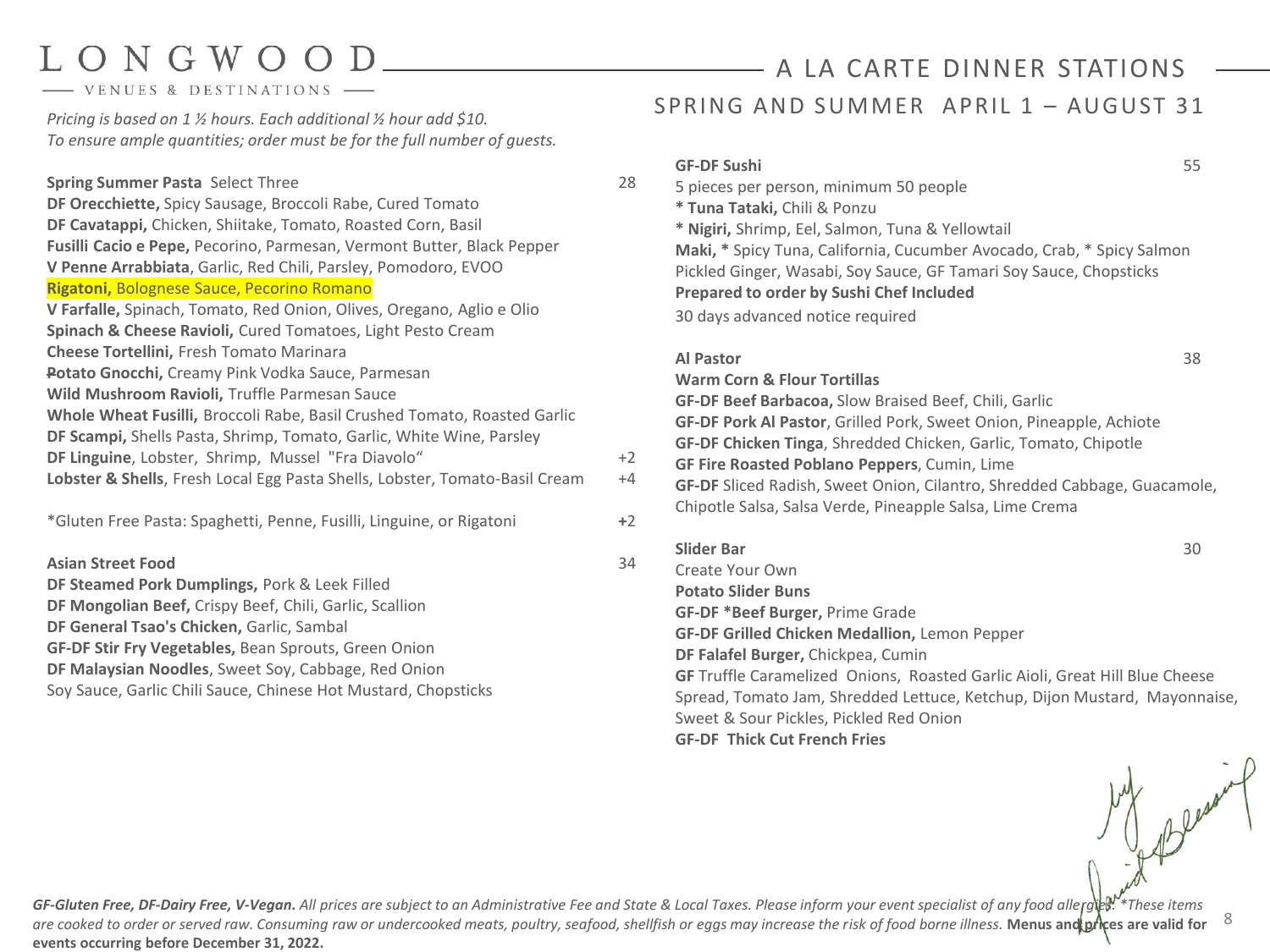- VENUES & DESTINATIONS

*Pricing is based on 1 ½ hours. Each additional ½ hour add \$10. To ensure ample quantities; order must be for the full number of guests.*

**Spring Summer Pasta** Select Three 28 and 28 and 28 and 28 and 28 and 28 and 28 and 28 and 28 and 28 and 28 and 29 **DF Orecchiette,** Spicy Sausage, Broccoli Rabe, Cured Tomato **DF Cavatappi,** Chicken, Shiitake, Tomato, Roasted Corn, Basil **Fusilli Cacio e Pepe,** Pecorino, Parmesan, Vermont Butter, Black Pepper **V Penne Arrabbiata**, Garlic, Red Chili, Parsley, Pomodoro, EVOO **Rigatoni,** Bolognese Sauce, Pecorino Romano **V Farfalle,** Spinach, Tomato, Red Onion, Olives, Oregano, Aglio e Olio **Spinach & Cheese Ravioli,** Cured Tomatoes, Light Pesto Cream **Cheese Tortellini,** Fresh Tomato Marinara **Potato Gnocchi,** Creamy Pink Vodka Sauce, Parmesan **Wild Mushroom Ravioli,** Truffle Parmesan Sauce **Whole Wheat Fusilli,** Broccoli Rabe, Basil Crushed Tomato, Roasted Garlic **DF Scampi,** Shells Pasta, Shrimp, Tomato, Garlic, White Wine, Parsley **DF Linguine**, Lobster, Shrimp, Mussel "Fra Diavolo" Lobster & Shells, Fresh Local Egg Pasta Shells, Lobster, Tomato-Basil Cream +

\*Gluten Free Pasta: Spaghetti, Penne, Fusilli, Linguine, or Rigatoni **+**2

**Asian Street Food** 33

**DF Steamed Pork Dumplings,** Pork & Leek Filled **DF Mongolian Beef,** Crispy Beef, Chili, Garlic, Scallion **DF General Tsao's Chicken,** Garlic, Sambal **GF-DF Stir Fry Vegetables,** Bean Sprouts, Green Onion **DF Malaysian Noodles**, Sweet Soy, Cabbage, Red Onion Soy Sauce, Garlic Chili Sauce, Chinese Hot Mustard, Chopsticks

## SPRING AND SUMMER APRIL  $1 -$  AUGUST 31 A LA CARTE DINNER STATIONS

|                     | <b>GF-DF Sushi</b>                                                          | 55 |
|---------------------|-----------------------------------------------------------------------------|----|
| 8                   | 5 pieces per person, minimum 50 people                                      |    |
|                     | * Tuna Tataki, Chili & Ponzu                                                |    |
|                     | * Nigiri, Shrimp, Eel, Salmon, Tuna & Yellowtail                            |    |
|                     | Maki, * Spicy Tuna, California, Cucumber Avocado, Crab, * Spicy Salmon      |    |
|                     | Pickled Ginger, Wasabi, Soy Sauce, GF Tamari Soy Sauce, Chopsticks          |    |
|                     | <b>Prepared to order by Sushi Chef Included</b>                             |    |
|                     | 30 days advanced notice required                                            |    |
|                     | <b>Al Pastor</b>                                                            | 38 |
|                     | <b>Warm Corn &amp; Flour Tortillas</b>                                      |    |
|                     | <b>GF-DF Beef Barbacoa, Slow Braised Beef, Chili, Garlic</b>                |    |
|                     | GF-DF Pork Al Pastor, Grilled Pork, Sweet Onion, Pineapple, Achiote         |    |
|                     | GF-DF Chicken Tinga, Shredded Chicken, Garlic, Tomato, Chipotle             |    |
| $\overline{c}$<br>4 | GF Fire Roasted Poblano Peppers, Cumin, Lime                                |    |
|                     | GF-DF Sliced Radish, Sweet Onion, Cilantro, Shredded Cabbage, Guacamole,    |    |
| 2                   | Chipotle Salsa, Salsa Verde, Pineapple Salsa, Lime Crema                    |    |
|                     | <b>Slider Bar</b>                                                           | 30 |
| 4                   | Create Your Own                                                             |    |
|                     | <b>Potato Slider Buns</b>                                                   |    |
|                     | <b>GF-DF *Beef Burger, Prime Grade</b>                                      |    |
|                     | <b>GF-DF Grilled Chicken Medallion, Lemon Pepper</b>                        |    |
|                     | DF Falafel Burger, Chickpea, Cumin                                          |    |
|                     | GF Truffle Caramelized Onions, Roasted Garlic Aioli, Great Hill Blue Cheese |    |
|                     | Spread, Tomato Jam, Shredded Lettuce, Ketchup, Dijon Mustard, Mayonnaise,   |    |
|                     | Sweet & Sour Pickles, Pickled Red Onion                                     |    |

**GF-DF Thick Cut French Fries**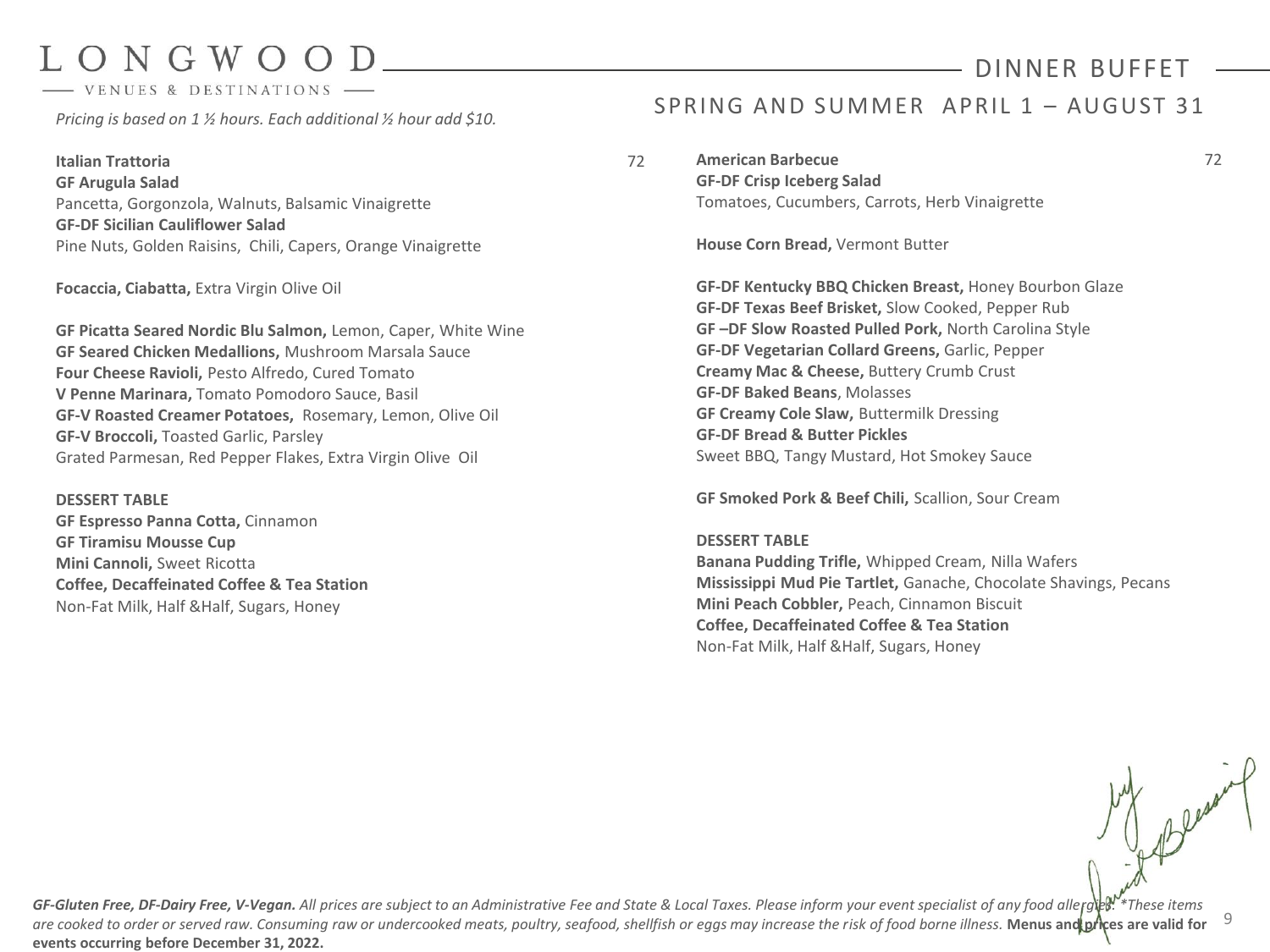VENUES & DESTINATIONS

*Pricing is based on 1 ½ hours. Each additional ½ hour add \$10.*

**Italian Trattoria** 72 **GF Arugula Salad** Pancetta, Gorgonzola, Walnuts, Balsamic Vinaigrette **GF-DF Sicilian Cauliflower Salad** Pine Nuts, Golden Raisins, Chili, Capers, Orange Vinaigrette

**Focaccia, Ciabatta,** Extra Virgin Olive Oil

**GF Picatta Seared Nordic Blu Salmon,** Lemon, Caper, White Wine **GF Seared Chicken Medallions,** Mushroom Marsala Sauce **Four Cheese Ravioli,** Pesto Alfredo, Cured Tomato **V Penne Marinara,** Tomato Pomodoro Sauce, Basil **GF-V Roasted Creamer Potatoes,** Rosemary, Lemon, Olive Oil **GF-V Broccoli,** Toasted Garlic, Parsley Grated Parmesan, Red Pepper Flakes, Extra Virgin Olive Oil

**DESSERT TABLE GF Espresso Panna Cotta,** Cinnamon **GF Tiramisu Mousse Cup Mini Cannoli,** Sweet Ricotta **Coffee, Decaffeinated Coffee & Tea Station** Non-Fat Milk, Half &Half, Sugars, Honey

### SPRING AND SUMMER APRIL  $1 -$  AUGUST 31

DINNER BUFFET

**American Barbecue** 72 **GF-DF Crisp Iceberg Salad**

Tomatoes, Cucumbers, Carrots, Herb Vinaigrette

**House Corn Bread,** Vermont Butter

**GF-DF Kentucky BBQ Chicken Breast,** Honey Bourbon Glaze **GF-DF Texas Beef Brisket,** Slow Cooked, Pepper Rub **GF –DF Slow Roasted Pulled Pork,** North Carolina Style **GF-DF Vegetarian Collard Greens,** Garlic, Pepper **Creamy Mac & Cheese,** Buttery Crumb Crust **GF-DF Baked Beans**, Molasses **GF Creamy Cole Slaw,** Buttermilk Dressing **GF-DF Bread & Butter Pickles** Sweet BBQ, Tangy Mustard, Hot Smokey Sauce

**GF Smoked Pork & Beef Chili,** Scallion, Sour Cream

#### **DESSERT TABLE**

**Banana Pudding Trifle,** Whipped Cream, Nilla Wafers **Mississippi Mud Pie Tartlet,** Ganache, Chocolate Shavings, Pecans **Mini Peach Cobbler,** Peach, Cinnamon Biscuit **Coffee, Decaffeinated Coffee & Tea Station** Non-Fat Milk, Half &Half, Sugars, Honey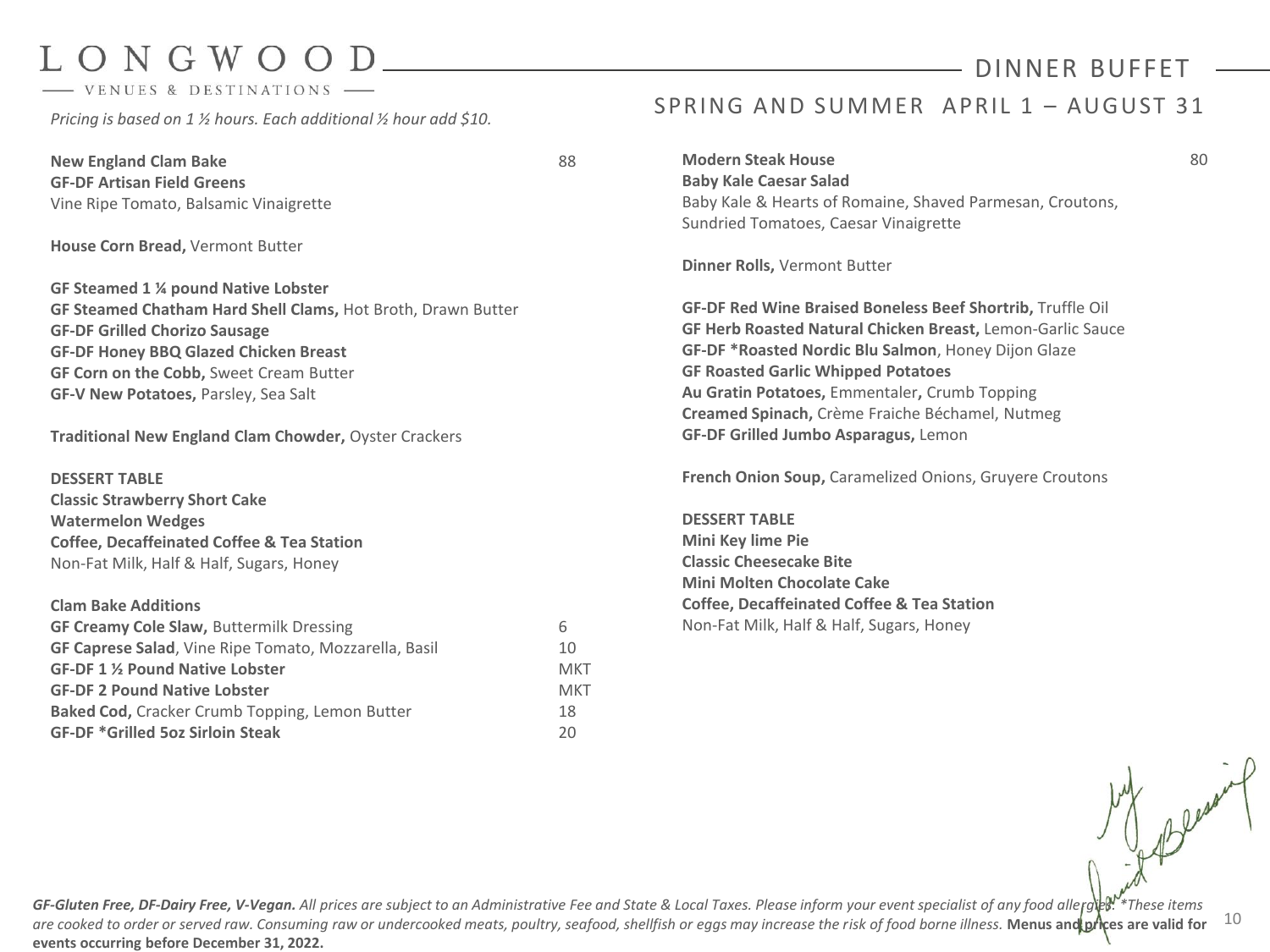- VENUES & DESTINATIONS

*Pricing is based on 1 ½ hours. Each additional ½ hour add \$10.* 

**New England Clam Bake** 88 **GF-DF Artisan Field Greens** Vine Ripe Tomato, Balsamic Vinaigrette

**House Corn Bread,** Vermont Butter

**GF Steamed 1 ¼ pound Native Lobster GF Steamed Chatham Hard Shell Clams,** Hot Broth, Drawn Butter **GF-DF Grilled Chorizo Sausage GF-DF Honey BBQ Glazed Chicken Breast GF Corn on the Cobb,** Sweet Cream Butter **GF-V New Potatoes,** Parsley, Sea Salt

**Traditional New England Clam Chowder,** Oyster Crackers

**DESSERT TABLE Classic Strawberry Short Cake Watermelon Wedges Coffee, Decaffeinated Coffee & Tea Station** Non-Fat Milk, Half & Half, Sugars, Honey

#### **Clam Bake Additions**

| <b>GF Creamy Cole Slaw, Buttermilk Dressing</b>              | h   |
|--------------------------------------------------------------|-----|
| <b>GF Caprese Salad, Vine Ripe Tomato, Mozzarella, Basil</b> | 10  |
| GF-DF 1 % Pound Native Lobster                               | MKT |
| <b>GF-DF 2 Pound Native Lobster</b>                          | MKT |
| <b>Baked Cod, Cracker Crumb Topping, Lemon Butter</b>        | 18  |
| <b>GF-DF *Grilled 5oz Sirloin Steak</b>                      | 20  |

## SPRING AND SUMMER APRIL 1 - AUGUST 31

**Modern Steak House** 80 **Baby Kale Caesar Salad** Baby Kale & Hearts of Romaine, Shaved Parmesan, Croutons, Sundried Tomatoes, Caesar Vinaigrette

**Dinner Rolls,** Vermont Butter

**GF-DF Red Wine Braised Boneless Beef Shortrib,** Truffle Oil **GF Herb Roasted Natural Chicken Breast,** Lemon-Garlic Sauce **GF-DF \*Roasted Nordic Blu Salmon**, Honey Dijon Glaze **GF Roasted Garlic Whipped Potatoes Au Gratin Potatoes,** Emmentaler**,** Crumb Topping **Creamed Spinach,** Crème Fraiche Béchamel, Nutmeg **GF-DF Grilled Jumbo Asparagus,** Lemon

**French Onion Soup,** Caramelized Onions, Gruyere Croutons

**DESSERT TABLE Mini Key lime Pie Classic Cheesecake Bite Mini Molten Chocolate Cake Coffee, Decaffeinated Coffee & Tea Station** Non-Fat Milk, Half & Half, Sugars, Honey

10 GF-Gluten Free, DF-Dairy Free, V-Vegan. All prices are subject to an Administrative Fee and State & Local Taxes. Please inform your event specialist of any food allergies. \*These items *are cooked to order or served raw. Consuming raw or undercooked meats, poultry, seafood, shellfish or eggs may increase the risk of food borne illness.* **Menus and prices are valid for events occurring before December 31, 2022.**

DINNER BUFFET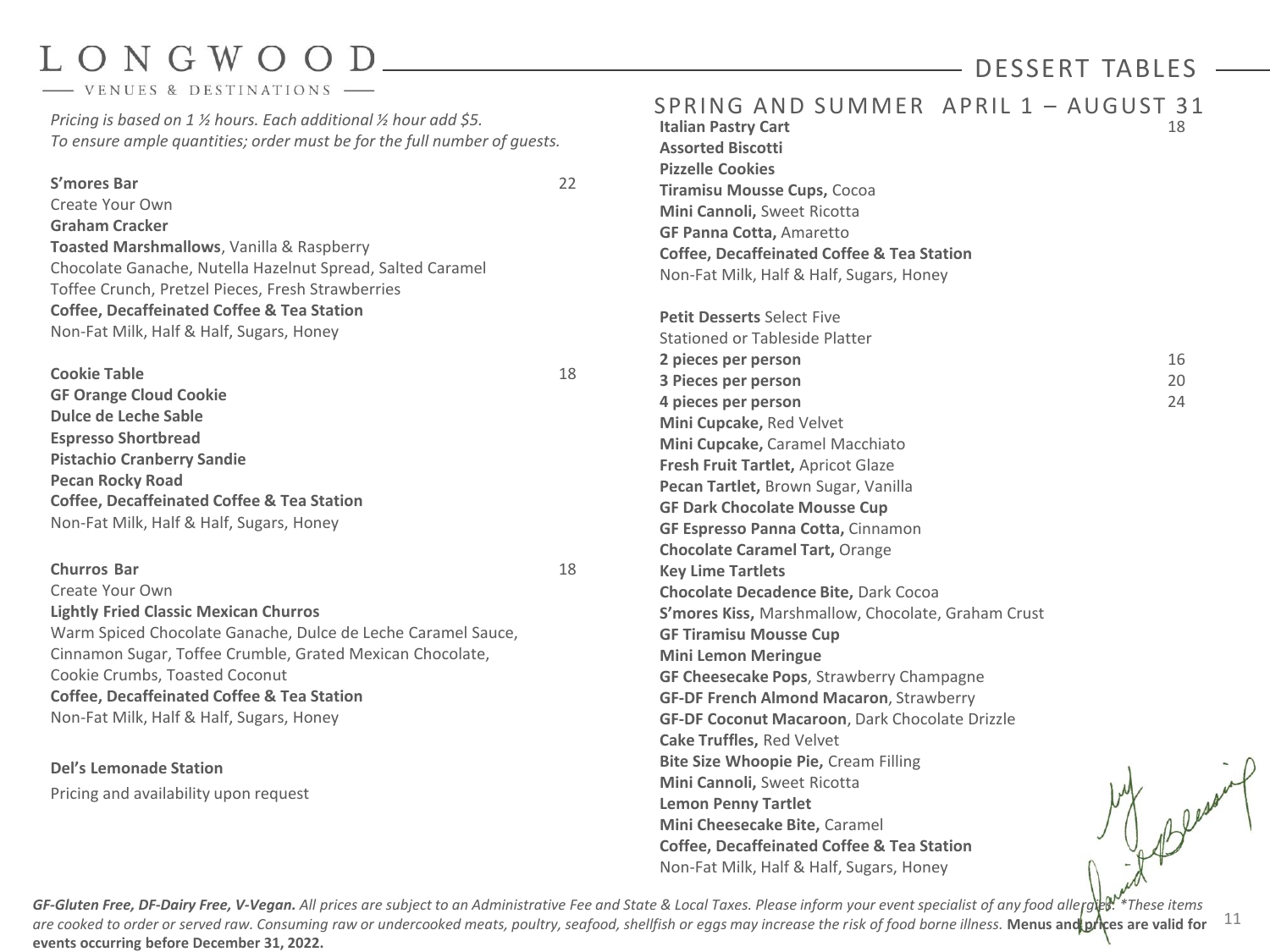- VENUES & DESTINATIONS

*Pricing is based on 1 ½ hours. Each additional ½ hour add \$5. To ensure ample quantities; order must be for the full number of guests.*

#### **S'mores Bar** 22

Create Your Own

**Graham Cracker Toasted Marshmallows**, Vanilla & Raspberry Chocolate Ganache, Nutella Hazelnut Spread, Salted Caramel Toffee Crunch, Pretzel Pieces, Fresh Strawberries **Coffee, Decaffeinated Coffee & Tea Station** Non-Fat Milk, Half & Half, Sugars, Honey

| <b>Cookie Table</b>                                   | 18 |
|-------------------------------------------------------|----|
| <b>GF Orange Cloud Cookie</b>                         |    |
| Dulce de Leche Sable                                  |    |
| <b>Espresso Shortbread</b>                            |    |
| <b>Pistachio Cranberry Sandie</b>                     |    |
| <b>Pecan Rocky Road</b>                               |    |
| <b>Coffee, Decaffeinated Coffee &amp; Tea Station</b> |    |
| Non-Fat Milk, Half & Half, Sugars, Honey              |    |

#### **Churros Bar** 18

Create Your Own **Lightly Fried Classic Mexican Churros** Warm Spiced Chocolate Ganache, Dulce de Leche Caramel Sauce, Cinnamon Sugar, Toffee Crumble, Grated Mexican Chocolate, Cookie Crumbs, Toasted Coconut **Coffee, Decaffeinated Coffee & Tea Station** Non-Fat Milk, Half & Half, Sugars, Honey

**Del's Lemonade Station** Pricing and availability upon request SPRING AND SUMMER APRIL  $1 -$  AUGUST 31<br>Italian Pastry Cart **Italian Pastry Cart Assorted Biscotti Pizzelle Cookies Tiramisu Mousse Cups,** Cocoa **Mini Cannoli,** Sweet Ricotta **GF Panna Cotta,** Amaretto **Coffee, Decaffeinated Coffee & Tea Station** Non-Fat Milk, Half & Half, Sugars, Honey **Petit Desserts** Select Five Stationed or Tableside Platter **2 pieces per person** 16 **3 Pieces per person** 20 **4 pieces per person** 24 **Mini Cupcake,** Red Velvet **Mini Cupcake,** Caramel Macchiato **Fresh Fruit Tartlet,** Apricot Glaze **Pecan Tartlet,** Brown Sugar, Vanilla **GF Dark Chocolate Mousse Cup GF Espresso Panna Cotta,** Cinnamon **Chocolate Caramel Tart,** Orange **Key Lime Tartlets Chocolate Decadence Bite,** Dark Cocoa **S'mores Kiss,** Marshmallow, Chocolate, Graham Crust **GF Tiramisu Mousse Cup Mini Lemon Meringue GF Cheesecake Pops**, Strawberry Champagne **GF-DF French Almond Macaron**, Strawberry **GF-DF Coconut Macaroon**, Dark Chocolate Drizzle **Cake Truffles,** Red Velvet **Bite Size Whoopie Pie,** Cream Filling **Mini Cannoli,** Sweet Ricotta **Lemon Penny Tartlet Mini Cheesecake Bite,** Caramel **Coffee, Decaffeinated Coffee & Tea Station** Non-Fat Milk, Half & Half, Sugars, Honey

11 GF-Gluten Free, DF-Dairy Free, V-Vegan. All prices are subject to an Administrative Fee and State & Local Taxes. Please inform your event specialist of any food allergies. \*These items *are cooked to order or served raw. Consuming raw or undercooked meats, poultry, seafood, shellfish or eggs may increase the risk of food borne illness.* **Menus and prices are valid for events occurring before December 31, 2022.**

### DESSERT TABLES